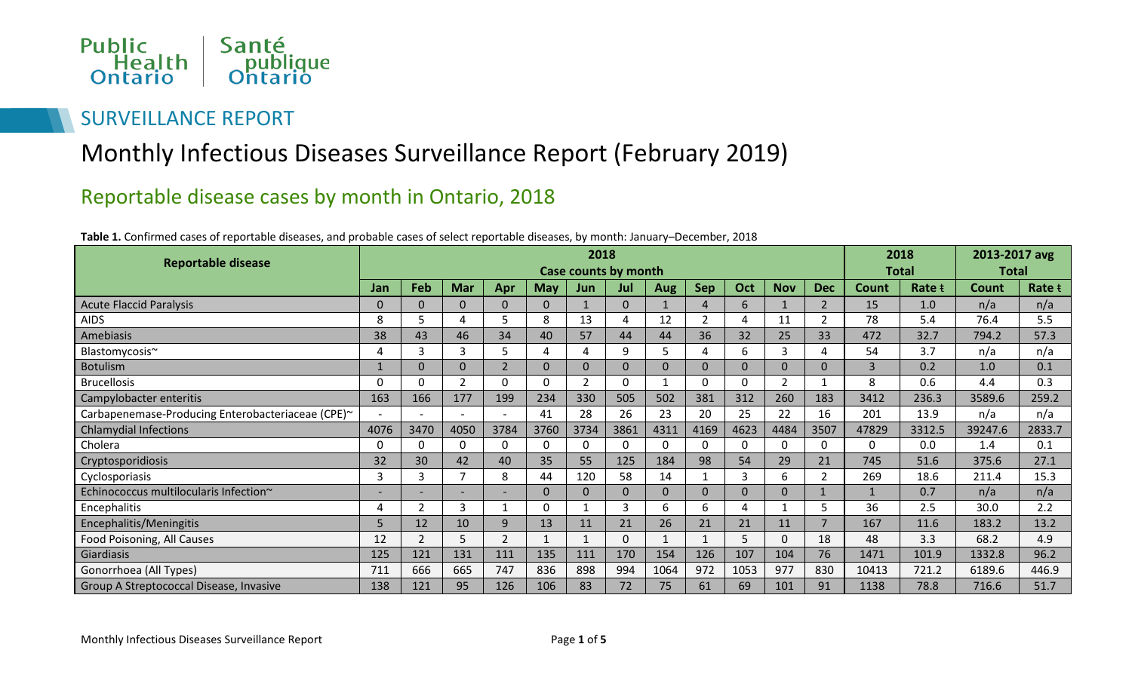

### SURVEILLANCE REPORT

# Monthly Infectious Diseases Surveillance Report (February 2019)

### Reportable disease cases by month in Ontario, 2018

| Table 1. Confirmed cases of reportable diseases, and probable cases of select reportable diseases, by month: January–December, 2018 |  |
|-------------------------------------------------------------------------------------------------------------------------------------|--|
|-------------------------------------------------------------------------------------------------------------------------------------|--|

| 2018                                              |                          |                |                          |                |              |                |          |              |                        | 2018                   |                | 2013-2017 avg  |                |        |              |        |
|---------------------------------------------------|--------------------------|----------------|--------------------------|----------------|--------------|----------------|----------|--------------|------------------------|------------------------|----------------|----------------|----------------|--------|--------------|--------|
| <b>Reportable disease</b>                         | Case counts by month     |                |                          |                |              |                |          |              |                        |                        |                |                | <b>Total</b>   |        | <b>Total</b> |        |
|                                                   | Jan                      | Feb            | <b>Mar</b>               | Apr            | <b>May</b>   | Jun            | Jul      | Aug          | <b>Sep</b>             | Oct                    | <b>Nov</b>     | <b>Dec</b>     | Count          | Rate t | <b>Count</b> | Rate t |
| <b>Acute Flaccid Paralysis</b>                    | 0                        | 0              | $\Omega$                 | $\Omega$       | $\Omega$     |                | $\Omega$ |              | $\boldsymbol{\Lambda}$ | 6                      |                | $\overline{2}$ | 15             | 1.0    | n/a          | n/a    |
| <b>AIDS</b>                                       | 8                        | 5              | 4                        | 5              | 8            | 13             | 4        | 12           | $\overline{2}$         | 4                      | 11             | 2              | 78             | 5.4    | 76.4         | 5.5    |
| Amebiasis                                         | 38                       | 43             | 46                       | 34             | 40           | 57             | 44       | 44           | 36                     | 32                     | 25             | 33             | 472            | 32.7   | 794.2        | 57.3   |
| Blastomycosis~                                    |                          | 3              | 3                        | 5              | 4            | 4              | 9        | 5            | 4                      | 6                      | 3              | 4              | 54             | 3.7    | n/a          | n/a    |
| <b>Botulism</b>                                   |                          | 0              | $\mathbf{0}$             | $\overline{2}$ | $\Omega$     | $\mathbf{0}$   | $\Omega$ | $\mathbf{0}$ | $\mathbf{0}$           | $\mathbf{0}$           | $\Omega$       | 0              | $\overline{3}$ | 0.2    | 1.0          | 0.1    |
| <b>Brucellosis</b>                                | O                        | O              | $\overline{2}$           | $\Omega$       | 0            | $\overline{2}$ | $\Omega$ |              | $\Omega$               | $\Omega$               | $\overline{2}$ | 1              | 8              | 0.6    | 4.4          | 0.3    |
| Campylobacter enteritis                           | 163                      | 166            | 177                      | 199            | 234          | 330            | 505      | 502          | 381                    | 312                    | 260            | 183            | 3412           | 236.3  | 3589.6       | 259.2  |
| Carbapenemase-Producing Enterobacteriaceae (CPE)~ | $\overline{\phantom{0}}$ |                |                          |                | 41           | 28             | 26       | 23           | 20                     | 25                     | 22             | 16             | 201            | 13.9   | n/a          | n/a    |
| <b>Chlamydial Infections</b>                      | 4076                     | 3470           | 4050                     | 3784           | 3760         | 3734           | 3861     | 4311         | 4169                   | 4623                   | 4484           | 3507           | 47829          | 3312.5 | 39247.6      | 2833.7 |
| Cholera                                           | 0                        | 0              | 0                        | $\Omega$       | $\Omega$     | $\Omega$       | 0        | 0            | $\Omega$               | $\Omega$               | 0              | 0              | $\Omega$       | 0.0    | 1.4          | 0.1    |
| Cryptosporidiosis                                 | 32                       | 30             | 42                       | 40             | 35           | 55             | 125      | 184          | 98                     | 54                     | 29             | 21             | 745            | 51.6   | 375.6        | 27.1   |
| Cyclosporiasis                                    | 3                        | 3              |                          | 8              | 44           | 120            | 58       | 14           | $\mathbf{1}$           | 3                      | 6              | $\overline{2}$ | 269            | 18.6   | 211.4        | 15.3   |
| Echinococcus multilocularis Infection~            | $\overline{\phantom{0}}$ |                | $\overline{\phantom{0}}$ |                | $\mathbf{0}$ | $\mathbf{0}$   | 0        | $\mathbf{0}$ | $\overline{0}$         | $\overline{0}$         | $\Omega$       |                | $\mathbf{1}$   | 0.7    | n/a          | n/a    |
| Encephalitis                                      | 4                        | 2              | 3                        |                | 0            | 1              | 3        | 6            | 6                      | $\boldsymbol{\Lambda}$ |                | 5              | 36             | 2.5    | 30.0         | 2.2    |
| Encephalitis/Meningitis                           | 5                        | 12             | 10                       | 9              | 13           | 11             | 21       | 26           | 21                     | 21                     | 11             | $\overline{7}$ | 167            | 11.6   | 183.2        | 13.2   |
| Food Poisoning, All Causes                        | 12                       | $\overline{2}$ | 5                        | $\overline{2}$ |              | $\mathbf{1}$   | $\Omega$ |              |                        | 5                      | $\Omega$       | 18             | 48             | 3.3    | 68.2         | 4.9    |
| Giardiasis                                        | 125                      | 121            | 131                      | 111            | 135          | 111            | 170      | 154          | 126                    | 107                    | 104            | 76             | 1471           | 101.9  | 1332.8       | 96.2   |
| Gonorrhoea (All Types)                            | 711                      | 666            | 665                      | 747            | 836          | 898            | 994      | 1064         | 972                    | 1053                   | 977            | 830            | 10413          | 721.2  | 6189.6       | 446.9  |
| Group A Streptococcal Disease, Invasive           | 138                      | 121            | 95                       | 126            | 106          | 83             | 72       | 75           | 61                     | 69                     | 101            | 91             | 1138           | 78.8   | 716.6        | 51.7   |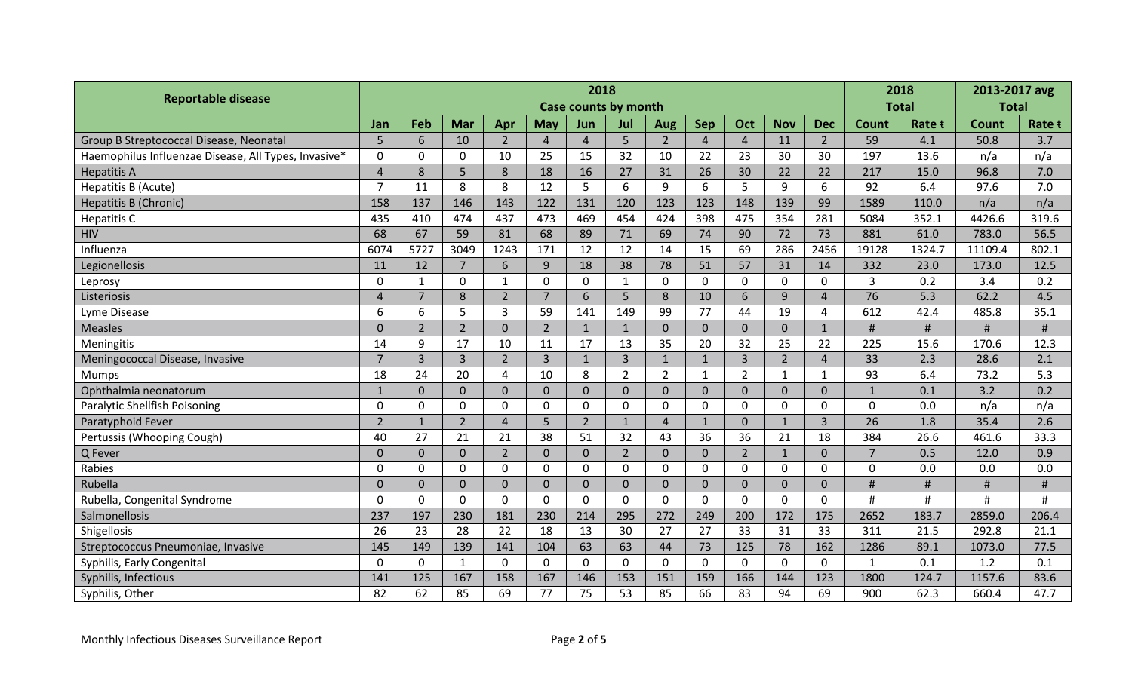| <b>Reportable disease</b>                            | 2018           |                             |                |                |                |                |                |                |                |                | 2018           |                | 2013-2017 avg  |              |         |        |
|------------------------------------------------------|----------------|-----------------------------|----------------|----------------|----------------|----------------|----------------|----------------|----------------|----------------|----------------|----------------|----------------|--------------|---------|--------|
|                                                      |                | <b>Case counts by month</b> |                |                |                |                |                |                |                |                |                |                | <b>Total</b>   | <b>Total</b> |         |        |
|                                                      | Jan            | Feb                         | <b>Mar</b>     | Apr            | <b>May</b>     | Jun            | Jul            | Aug            | <b>Sep</b>     | Oct            | <b>Nov</b>     | <b>Dec</b>     | Count          | Rate t       | Count   | Rate t |
| Group B Streptococcal Disease, Neonatal              | 5              | 6                           | 10             | $\overline{2}$ | $\overline{4}$ | $\overline{4}$ | 5              | $\overline{2}$ | $\overline{4}$ | $\overline{4}$ | 11             | $2^{\circ}$    | 59             | 4.1          | 50.8    | 3.7    |
| Haemophilus Influenzae Disease, All Types, Invasive* | $\mathbf 0$    | $\mathbf 0$                 | $\mathbf 0$    | 10             | 25             | 15             | 32             | 10             | 22             | 23             | 30             | 30             | 197            | 13.6         | n/a     | n/a    |
| <b>Hepatitis A</b>                                   | $\Delta$       | 8                           | 5              | 8              | 18             | 16             | 27             | 31             | 26             | 30             | 22             | 22             | 217            | 15.0         | 96.8    | 7.0    |
| Hepatitis B (Acute)                                  | $\overline{7}$ | 11                          | 8              | 8              | 12             | 5              | 6              | 9              | 6              | 5              | 9              | 6              | 92             | 6.4          | 97.6    | 7.0    |
| <b>Hepatitis B (Chronic)</b>                         | 158            | 137                         | 146            | 143            | 122            | 131            | 120            | 123            | 123            | 148            | 139            | 99             | 1589           | 110.0        | n/a     | n/a    |
| Hepatitis C                                          | 435            | 410                         | 474            | 437            | 473            | 469            | 454            | 424            | 398            | 475            | 354            | 281            | 5084           | 352.1        | 4426.6  | 319.6  |
| <b>HIV</b>                                           | 68             | 67                          | 59             | 81             | 68             | 89             | 71             | 69             | 74             | 90             | 72             | 73             | 881            | 61.0         | 783.0   | 56.5   |
| Influenza                                            | 6074           | 5727                        | 3049           | 1243           | 171            | 12             | 12             | 14             | 15             | 69             | 286            | 2456           | 19128          | 1324.7       | 11109.4 | 802.1  |
| Legionellosis                                        | 11             | 12                          | $\overline{7}$ | 6              | $\overline{9}$ | 18             | 38             | 78             | 51             | 57             | 31             | 14             | 332            | 23.0         | 173.0   | 12.5   |
| Leprosy                                              | 0              | $\mathbf{1}$                | $\overline{0}$ | $\mathbf{1}$   | $\mathbf 0$    | $\mathbf 0$    | $\mathbf{1}$   | $\mathbf{0}$   | $\mathbf{0}$   | $\overline{0}$ | $\mathbf{0}$   | $\mathbf 0$    | $\overline{3}$ | 0.2          | 3.4     | 0.2    |
| Listeriosis                                          |                | $\overline{7}$              | 8              | $\overline{2}$ | $\overline{7}$ | 6              | 5              | 8              | 10             | $6\phantom{1}$ | 9              | $\overline{4}$ | 76             | 5.3          | 62.2    | 4.5    |
| Lyme Disease                                         | 6              | 6                           | 5              | $\overline{3}$ | 59             | 141            | 149            | 99             | 77             | 44             | 19             | $\overline{4}$ | 612            | 42.4         | 485.8   | 35.1   |
| <b>Measles</b>                                       | $\overline{0}$ | $\overline{2}$              | $\overline{2}$ | $\mathbf{0}$   | $\overline{2}$ | $\mathbf{1}$   | $\mathbf{1}$   | $\mathbf{0}$   | $\mathbf{0}$   | $\mathbf{0}$   | $\overline{0}$ | $\mathbf{1}$   | #              | $\#$         | $\#$    | #      |
| Meningitis                                           | 14             | 9                           | 17             | 10             | 11             | 17             | 13             | 35             | 20             | 32             | 25             | 22             | 225            | 15.6         | 170.6   | 12.3   |
| Meningococcal Disease, Invasive                      | $\overline{7}$ | $\overline{3}$              | $\overline{3}$ | $\overline{2}$ | $\overline{3}$ | $\mathbf{1}$   | 3              | $\mathbf{1}$   | $\mathbf{1}$   | $\overline{3}$ | $2^{\circ}$    | $\overline{4}$ | 33             | 2.3          | 28.6    | 2.1    |
| <b>Mumps</b>                                         | 18             | 24                          | 20             | 4              | 10             | 8              | $\overline{2}$ | $\overline{2}$ | $\mathbf{1}$   | $\overline{2}$ | $\mathbf{1}$   | 1              | 93             | 6.4          | 73.2    | 5.3    |
| Ophthalmia neonatorum                                | $\mathbf{1}$   | $\overline{0}$              | $\overline{0}$ | $\mathbf{0}$   | $\overline{0}$ | $\overline{0}$ | $\overline{0}$ | $\mathbf{0}$   | $\mathbf{0}$   | $\overline{0}$ | $\overline{0}$ | $\overline{0}$ | $\mathbf{1}$   | 0.1          | 3.2     | 0.2    |
| Paralytic Shellfish Poisoning                        | 0              | $\mathbf 0$                 | $\overline{0}$ | $\mathbf 0$    | $\mathbf 0$    | $\mathbf 0$    | $\mathbf 0$    | $\mathbf 0$    | $\mathbf 0$    | $\mathbf 0$    | $\mathbf 0$    | $\mathbf 0$    | $\overline{0}$ | 0.0          | n/a     | n/a    |
| Paratyphoid Fever                                    | $\overline{2}$ | $\mathbf{1}$                | $\overline{2}$ | $\overline{4}$ | 5              | $\overline{2}$ | $\mathbf{1}$   | $\overline{4}$ | $\mathbf{1}$   | $\mathbf{0}$   | $\mathbf{1}$   | $\overline{3}$ | 26             | 1.8          | 35.4    | 2.6    |
| Pertussis (Whooping Cough)                           | 40             | 27                          | 21             | 21             | 38             | 51             | 32             | 43             | 36             | 36             | 21             | 18             | 384            | 26.6         | 461.6   | 33.3   |
| Q Fever                                              | $\overline{0}$ | $\overline{0}$              | $\overline{0}$ | $\overline{2}$ | $\mathbf{0}$   | $\mathbf{0}$   | $\overline{2}$ | $\mathbf{0}$   | $\mathbf{0}$   | $2^{\circ}$    | $\mathbf{1}$   | $\overline{0}$ | $\overline{7}$ | 0.5          | 12.0    | 0.9    |
| Rabies                                               | $\Omega$       | $\mathbf 0$                 | $\overline{0}$ | $\mathbf 0$    | $\Omega$       | $\mathbf{0}$   | $\Omega$       | $\mathbf 0$    | $\mathbf 0$    | $\mathbf 0$    | $\mathbf{0}$   | $\mathbf 0$    | $\mathbf 0$    | 0.0          | 0.0     | 0.0    |
| Rubella                                              | $\Omega$       | $\Omega$                    | $\overline{0}$ | $\mathbf{0}$   | $\Omega$       | $\overline{0}$ | $\Omega$       | $\mathbf{0}$   | $\overline{0}$ | $\mathbf{0}$   | $\Omega$       | $\overline{0}$ | #              |              | $\#$    | #      |
| Rubella, Congenital Syndrome                         | $\Omega$       | $\mathbf 0$                 | $\overline{0}$ | $\mathbf 0$    | $\mathbf 0$    | $\mathbf 0$    | $\mathbf{0}$   | $\mathbf 0$    | $\mathbf 0$    | $\mathbf 0$    | $\mathbf{0}$   | $\mathbf 0$    | Ħ              | #            | #       | #      |
| Salmonellosis                                        | 237            | 197                         | 230            | 181            | 230            | 214            | 295            | 272            | 249            | 200            | 172            | 175            | 2652           | 183.7        | 2859.0  | 206.4  |
| Shigellosis                                          | 26             | 23                          | 28             | 22             | 18             | 13             | 30             | 27             | 27             | 33             | 31             | 33             | 311            | 21.5         | 292.8   | 21.1   |
| Streptococcus Pneumoniae, Invasive                   | 145            | 149                         | 139            | 141            | 104            | 63             | 63             | 44             | 73             | 125            | 78             | 162            | 1286           | 89.1         | 1073.0  | 77.5   |
| Syphilis, Early Congenital                           | $\Omega$       | $\mathbf 0$                 | $\mathbf{1}$   | $\mathbf 0$    | $\mathbf 0$    | $\mathbf 0$    | $\mathbf{0}$   | $\mathbf 0$    | $\mathbf 0$    | $\mathbf 0$    | $\mathbf{0}$   | $\mathbf 0$    | $\mathbf{1}$   | 0.1          | 1.2     | 0.1    |
| Syphilis, Infectious                                 | 141            | 125                         | 167            | 158            | 167            | 146            | 153            | 151            | 159            | 166            | 144            | 123            | 1800           | 124.7        | 1157.6  | 83.6   |
| Syphilis, Other                                      | 82             | 62                          | 85             | 69             | 77             | 75             | 53             | 85             | 66             | 83             | 94             | 69             | 900            | 62.3         | 660.4   | 47.7   |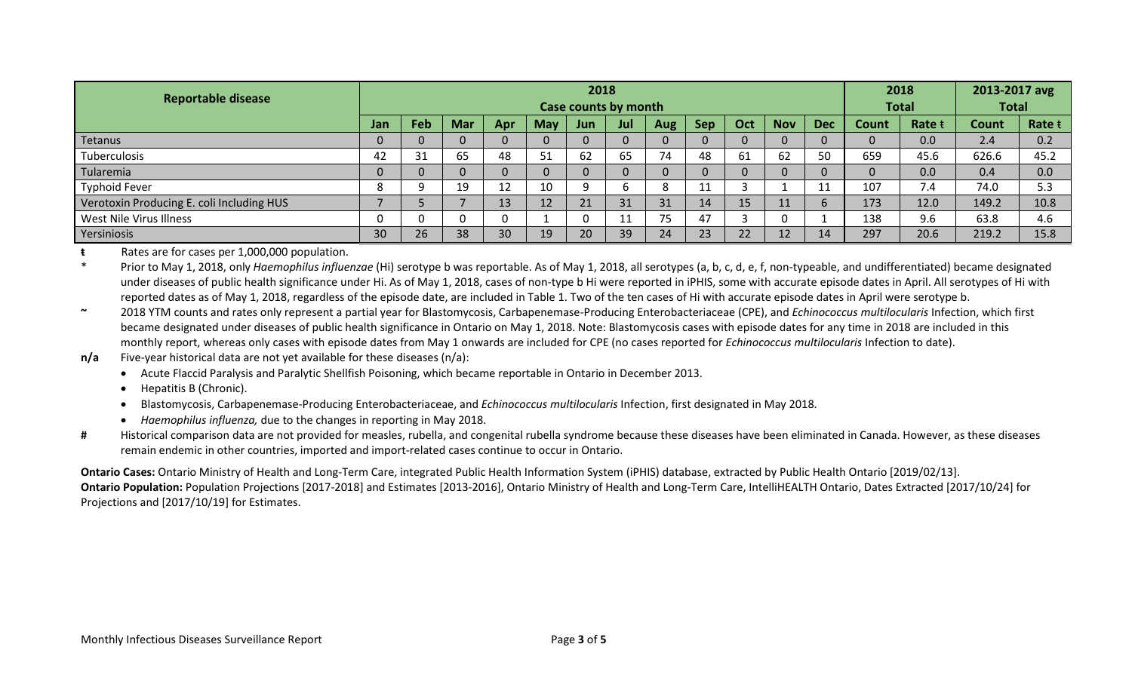| <b>Reportable disease</b>                 | 2018                 |                |            |          |     |     |          |            |              |     |              |            |          | 2018   |       | 2013-2017 avg |  |
|-------------------------------------------|----------------------|----------------|------------|----------|-----|-----|----------|------------|--------------|-----|--------------|------------|----------|--------|-------|---------------|--|
|                                           | Case counts by month |                |            |          |     |     |          |            | <b>Total</b> |     | <b>Total</b> |            |          |        |       |               |  |
|                                           | Jan                  | Feb            | <b>Mar</b> | Apr      | May | Jun | Jul      | <b>Aug</b> | <b>Sep</b>   | Oct | <b>Nov</b>   | <b>Dec</b> | Count    | Rate t | Count | Rate t        |  |
| Tetanus                                   |                      | $\Omega$       |            | 0        |     |     |          |            |              |     |              | 0          |          | 0.0    | 2.4   | 0.2           |  |
| Tuberculosis                              | 42                   | 31             | 65         | 48       | 51  | 62  | 65       | 74         | 48           | 61  | 62           | 50         | 659      | 45.6   | 626.6 | 45.2          |  |
| Tularemia                                 |                      | $\overline{0}$ |            | $\Omega$ |     |     |          |            |              |     |              | $\Omega$   | $\Omega$ | 0.0    | 0.4   | 0.0           |  |
| <b>Typhoid Fever</b>                      |                      | ∩              | 19         | 12<br>ᅭ  | 10  |     |          | 8          | 11           |     |              | 11         | 107      | 7.4    | 74.0  | 5.3           |  |
| Verotoxin Producing E. coli Including HUS |                      |                |            | 13       | 12  | 21  | 31       | 31         | 14           | 15  | 11           | b          | 173      | 12.0   | 149.2 | 10.8          |  |
| West Nile Virus Illness                   |                      |                |            |          |     |     | 11<br>ᆠᆂ | 75         | 47           |     |              |            | 138      | 9.6    | 63.8  | 4.6           |  |
| Yersiniosis                               | 30                   | 26             | 38         | 30       | 19  | 20  | 39       | 24         | 23           | 22  | 12           | 14         | 297      | 20.6   | 219.2 | 15.8          |  |

**ŧ** Rates are for cases per 1,000,000 population.

\* Prior to May 1, 2018, only *Haemophilus influenzae* (Hi) serotype b was reportable. As of May 1, 2018, all serotypes (a, b, c, d, e, f, non-typeable, and undifferentiated) became designated under diseases of public health significance under Hi. As of May 1, 2018, cases of non-type b Hi were reported in iPHIS, some with accurate episode dates in April. All serotypes of Hi with reported dates as of May 1, 2018, regardless of the episode date, are included in Table 1. Two of the ten cases of Hi with accurate episode dates in April were serotype b.

**~** 2018 YTM counts and rates only represent a partial year for Blastomycosis, Carbapenemase-Producing Enterobacteriaceae (CPE), and *Echinococcus multilocularis* Infection, which first became designated under diseases of public health significance in Ontario on May 1, 2018. Note: Blastomycosis cases with episode dates for any time in 2018 are included in this monthly report, whereas only cases with episode dates from May 1 onwards are included for CPE (no cases reported for *Echinococcus multilocularis* Infection to date).

#### **n/a** Five-year historical data are not yet available for these diseases (n/a):

- Acute Flaccid Paralysis and Paralytic Shellfish Poisoning, which became reportable in Ontario in December 2013.
- Hepatitis B (Chronic).
- Blastomycosis, Carbapenemase-Producing Enterobacteriaceae, and *Echinococcus multilocularis* Infection, first designated in May 2018.
- *Haemophilus influenza,* due to the changes in reporting in May 2018.
- **#** Historical comparison data are not provided for measles, rubella, and congenital rubella syndrome because these diseases have been eliminated in Canada. However, as these diseases remain endemic in other countries, imported and import-related cases continue to occur in Ontario.

**Ontario Cases:** Ontario Ministry of Health and Long-Term Care, integrated Public Health Information System (iPHIS) database, extracted by Public Health Ontario [2019/02/13]. **Ontario Population:** Population Projections [2017-2018] and Estimates [2013-2016], Ontario Ministry of Health and Long-Term Care, IntelliHEALTH Ontario, Dates Extracted [2017/10/24] for Projections and [2017/10/19] for Estimates.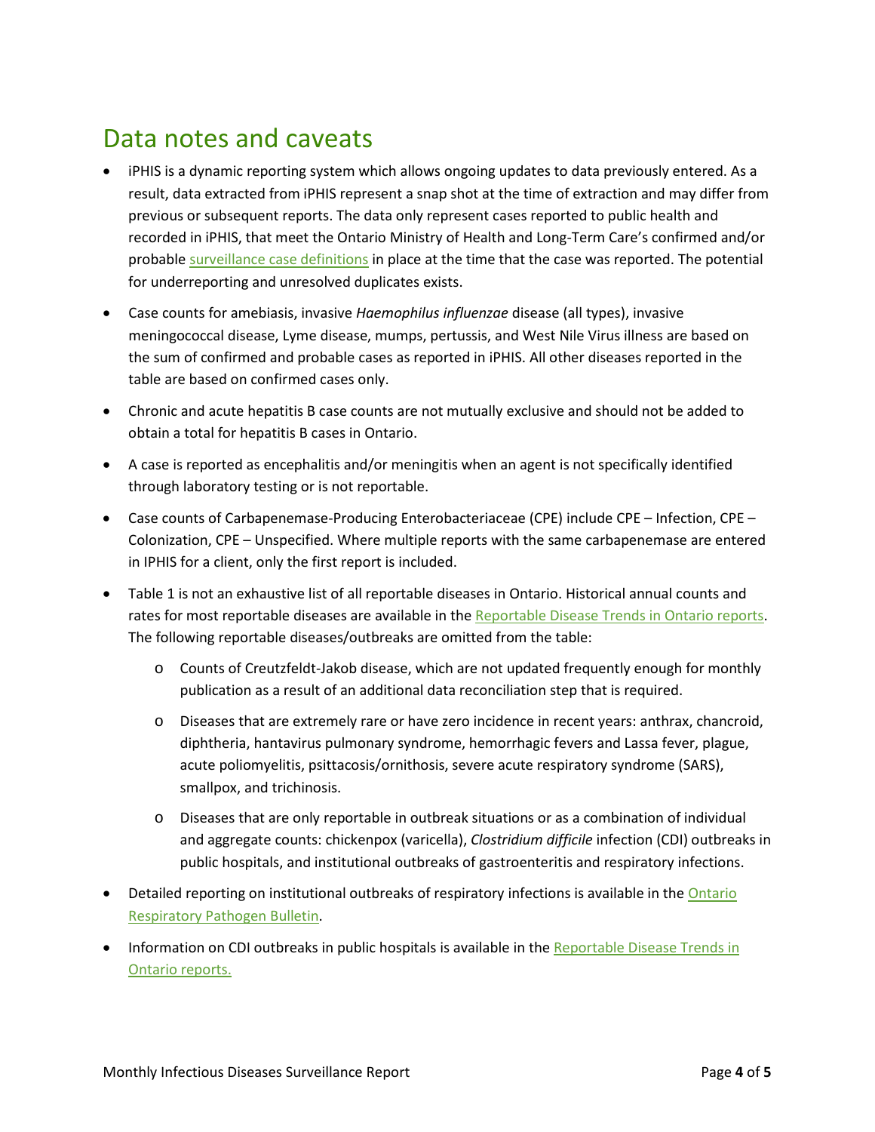## Data notes and caveats

- iPHIS is a dynamic reporting system which allows ongoing updates to data previously entered. As a result, data extracted from iPHIS represent a snap shot at the time of extraction and may differ from previous or subsequent reports. The data only represent cases reported to public health and recorded in iPHIS, that meet the Ontario Ministry of Health and Long-Term Care's confirmed and/or probable [surveillance case definitions](http://www.health.gov.on.ca/en/pro/programs/publichealth/oph_standards/infdispro.aspx) in place at the time that the case was reported. The potential for underreporting and unresolved duplicates exists.
- Case counts for amebiasis, invasive *Haemophilus influenzae* disease (all types), invasive meningococcal disease, Lyme disease, mumps, pertussis, and West Nile Virus illness are based on the sum of confirmed and probable cases as reported in iPHIS. All other diseases reported in the table are based on confirmed cases only.
- Chronic and acute hepatitis B case counts are not mutually exclusive and should not be added to obtain a total for hepatitis B cases in Ontario.
- A case is reported as encephalitis and/or meningitis when an agent is not specifically identified through laboratory testing or is not reportable.
- Case counts of Carbapenemase-Producing Enterobacteriaceae (CPE) include CPE Infection, CPE Colonization, CPE – Unspecified. Where multiple reports with the same carbapenemase are entered in IPHIS for a client, only the first report is included.
- Table 1 is not an exhaustive list of all reportable diseases in Ontario. Historical annual counts and rates for most reportable diseases are available in th[e Reportable Disease Trends in Ontario reports.](http://www.publichealthontario.ca/en/BrowseByTopic/InfectiousDiseases/Pages/Reportable-Disease-Trends.aspx) The following reportable diseases/outbreaks are omitted from the table:
	- o Counts of Creutzfeldt-Jakob disease, which are not updated frequently enough for monthly publication as a result of an additional data reconciliation step that is required.
	- o Diseases that are extremely rare or have zero incidence in recent years: anthrax, chancroid, diphtheria, hantavirus pulmonary syndrome, hemorrhagic fevers and Lassa fever, plague, acute poliomyelitis, psittacosis/ornithosis, severe acute respiratory syndrome (SARS), smallpox, and trichinosis.
	- o Diseases that are only reportable in outbreak situations or as a combination of individual and aggregate counts: chickenpox (varicella), *Clostridium difficile* infection (CDI) outbreaks in public hospitals, and institutional outbreaks of gastroenteritis and respiratory infections.
- Detailed reporting on institutional outbreaks of respiratory infections is available in the Ontario [Respiratory Pathogen Bulletin.](http://www.publichealthontario.ca/en/ServicesAndTools/SurveillanceServices/Pages/Ontario-Respiratory-Virus-Bulletin.aspx)
- Information on CDI outbreaks in public hospitals is available in th[e Reportable Disease Trends in](http://www.publichealthontario.ca/en/BrowseByTopic/InfectiousDiseases/Pages/Reportable-Disease-Trends.aspx)  [Ontario reports.](http://www.publichealthontario.ca/en/BrowseByTopic/InfectiousDiseases/Pages/Reportable-Disease-Trends.aspx)